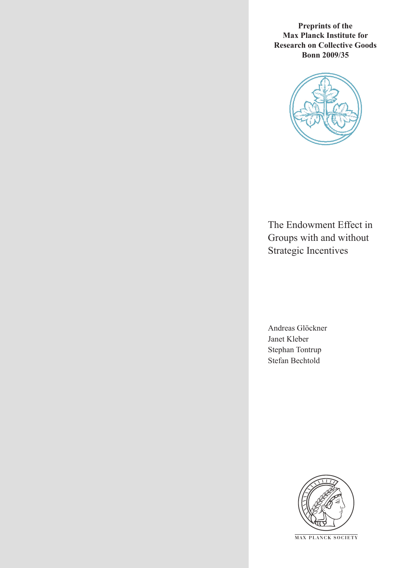**Preprints of the Max Planck Institute for Research on Collective Goods Bonn 2009/35**



The Endowment Effect in Groups with and without Strategic Incentives

Andreas Glöckner Janet Kleber Stephan Tontrup Stefan Bechtold



**M AX P L A N C K S O C I E T Y**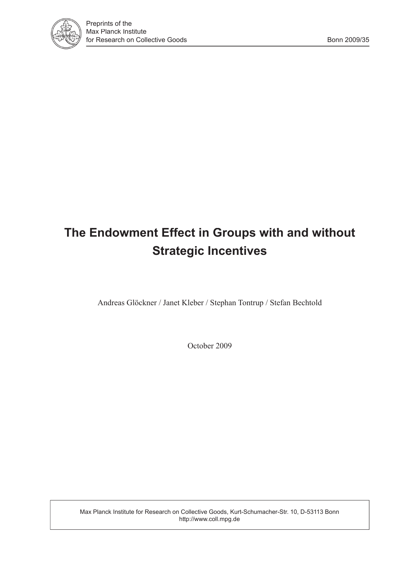

# **The Endowment Effect in Groups with and without Strategic Incentives**

Andreas Glöckner / Janet Kleber / Stephan Tontrup / Stefan Bechtold

October 2009

Max Planck Institute for Research on Collective Goods, Kurt-Schumacher-Str. 10, D-53113 Bonn http://www.coll.mpg.de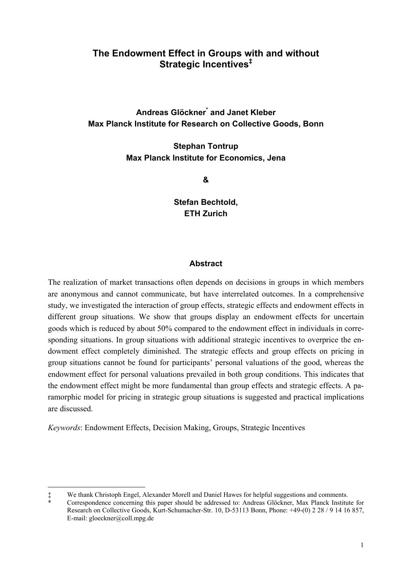## **The Endowment Effect in Groups with and without Strategic Incentives‡**

## **Andreas Glöckner\* and Janet Kleber Max Planck Institute for Research on Collective Goods, Bonn**

**Stephan Tontrup Max Planck Institute for Economics, Jena** 

**&** 

**Stefan Bechtold, ETH Zurich** 

#### **Abstract**

The realization of market transactions often depends on decisions in groups in which members are anonymous and cannot communicate, but have interrelated outcomes. In a comprehensive study, we investigated the interaction of group effects, strategic effects and endowment effects in different group situations. We show that groups display an endowment effects for uncertain goods which is reduced by about 50% compared to the endowment effect in individuals in corresponding situations. In group situations with additional strategic incentives to overprice the endowment effect completely diminished. The strategic effects and group effects on pricing in group situations cannot be found for participants' personal valuations of the good, whereas the endowment effect for personal valuations prevailed in both group conditions. This indicates that the endowment effect might be more fundamental than group effects and strategic effects. A paramorphic model for pricing in strategic group situations is suggested and practical implications are discussed.

*Keywords*: Endowment Effects, Decision Making, Groups, Strategic Incentives

 $\overline{a}$ ‡ We thank Christoph Engel, Alexander Morell and Daniel Hawes for helpful suggestions and comments.

<sup>\*</sup> Correspondence concerning this paper should be addressed to: Andreas Glöckner, Max Planck Institute for Research on Collective Goods, Kurt-Schumacher-Str. 10, D-53113 Bonn, Phone: +49-(0) 2 28 / 9 14 16 857, E-mail: gloeckner@coll.mpg.de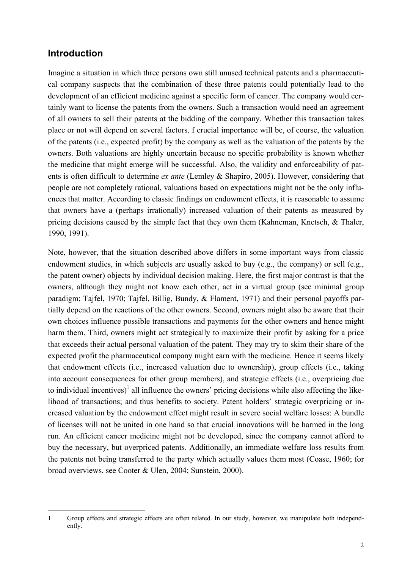# **Introduction**

Imagine a situation in which three persons own still unused technical patents and a pharmaceutical company suspects that the combination of these three patents could potentially lead to the development of an efficient medicine against a specific form of cancer. The company would certainly want to license the patents from the owners. Such a transaction would need an agreement of all owners to sell their patents at the bidding of the company. Whether this transaction takes place or not will depend on several factors. f crucial importance will be, of course, the valuation of the patents (i.e., expected profit) by the company as well as the valuation of the patents by the owners. Both valuations are highly uncertain because no specific probability is known whether the medicine that might emerge will be successful. Also, the validity and enforceability of patents is often difficult to determine *ex ante* (Lemley & Shapiro, 2005). However, considering that people are not completely rational, valuations based on expectations might not be the only influences that matter. According to classic findings on endowment effects, it is reasonable to assume that owners have a (perhaps irrationally) increased valuation of their patents as measured by pricing decisions caused by the simple fact that they own them (Kahneman, Knetsch, & Thaler, 1990, 1991).

Note, however, that the situation described above differs in some important ways from classic endowment studies, in which subjects are usually asked to buy (e.g., the company) or sell (e.g., the patent owner) objects by individual decision making. Here, the first major contrast is that the owners, although they might not know each other, act in a virtual group (see minimal group paradigm; Tajfel, 1970; Tajfel, Billig, Bundy, & Flament, 1971) and their personal payoffs partially depend on the reactions of the other owners. Second, owners might also be aware that their own choices influence possible transactions and payments for the other owners and hence might harm them. Third, owners might act strategically to maximize their profit by asking for a price that exceeds their actual personal valuation of the patent. They may try to skim their share of the expected profit the pharmaceutical company might earn with the medicine. Hence it seems likely that endowment effects (i.e., increased valuation due to ownership), group effects (i.e., taking into account consequences for other group members), and strategic effects (i.e., overpricing due to individual incentives)<sup>1</sup> all influence the owners' pricing decisions while also affecting the likelihood of transactions; and thus benefits to society. Patent holders' strategic overpricing or increased valuation by the endowment effect might result in severe social welfare losses: A bundle of licenses will not be united in one hand so that crucial innovations will be harmed in the long run. An efficient cancer medicine might not be developed, since the company cannot afford to buy the necessary, but overpriced patents. Additionally, an immediate welfare loss results from the patents not being transferred to the party which actually values them most (Coase, 1960; for broad overviews, see Cooter & Ulen, 2004; Sunstein, 2000).

 $\overline{a}$ 1 Group effects and strategic effects are often related. In our study, however, we manipulate both independently.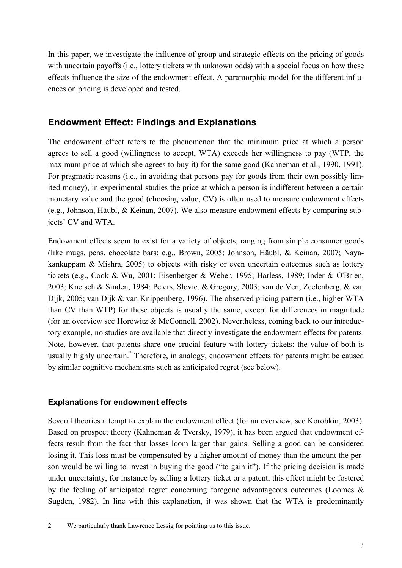In this paper, we investigate the influence of group and strategic effects on the pricing of goods with uncertain payoffs (i.e., lottery tickets with unknown odds) with a special focus on how these effects influence the size of the endowment effect. A paramorphic model for the different influences on pricing is developed and tested.

# **Endowment Effect: Findings and Explanations**

The endowment effect refers to the phenomenon that the minimum price at which a person agrees to sell a good (willingness to accept, WTA) exceeds her willingness to pay (WTP, the maximum price at which she agrees to buy it) for the same good (Kahneman et al., 1990, 1991). For pragmatic reasons (i.e., in avoiding that persons pay for goods from their own possibly limited money), in experimental studies the price at which a person is indifferent between a certain monetary value and the good (choosing value, CV) is often used to measure endowment effects (e.g., Johnson, Häubl, & Keinan, 2007). We also measure endowment effects by comparing subjects' CV and WTA.

Endowment effects seem to exist for a variety of objects, ranging from simple consumer goods (like mugs, pens, chocolate bars; e.g., Brown, 2005; Johnson, Häubl, & Keinan, 2007; Nayakankuppam & Mishra, 2005) to objects with risky or even uncertain outcomes such as lottery tickets (e.g., Cook & Wu, 2001; Eisenberger & Weber, 1995; Harless, 1989; Inder & O'Brien, 2003; Knetsch & Sinden, 1984; Peters, Slovic, & Gregory, 2003; van de Ven, Zeelenberg, & van Dijk, 2005; van Dijk & van Knippenberg, 1996). The observed pricing pattern (i.e., higher WTA than CV than WTP) for these objects is usually the same, except for differences in magnitude (for an overview see Horowitz & McConnell, 2002). Nevertheless, coming back to our introductory example, no studies are available that directly investigate the endowment effects for patents. Note, however, that patents share one crucial feature with lottery tickets: the value of both is usually highly uncertain.<sup>2</sup> Therefore, in analogy, endowment effects for patents might be caused by similar cognitive mechanisms such as anticipated regret (see below).

## **Explanations for endowment effects**

Several theories attempt to explain the endowment effect (for an overview, see Korobkin, 2003). Based on prospect theory (Kahneman & Tversky, 1979), it has been argued that endowment effects result from the fact that losses loom larger than gains. Selling a good can be considered losing it. This loss must be compensated by a higher amount of money than the amount the person would be willing to invest in buying the good ("to gain it"). If the pricing decision is made under uncertainty, for instance by selling a lottery ticket or a patent, this effect might be fostered by the feeling of anticipated regret concerning foregone advantageous outcomes (Loomes & Sugden, 1982). In line with this explanation, it was shown that the WTA is predominantly

j 2 We particularly thank Lawrence Lessig for pointing us to this issue.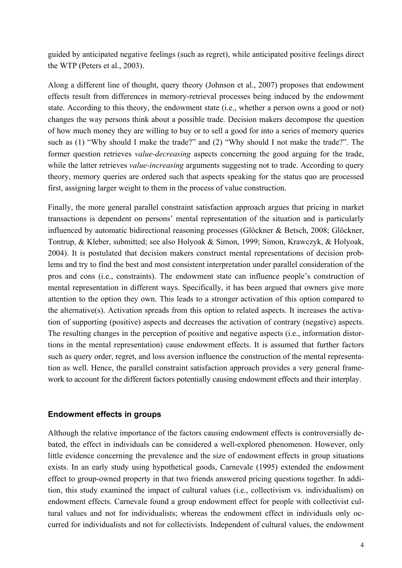guided by anticipated negative feelings (such as regret), while anticipated positive feelings direct the WTP (Peters et al., 2003).

Along a different line of thought, query theory (Johnson et al., 2007) proposes that endowment effects result from differences in memory-retrieval processes being induced by the endowment state. According to this theory, the endowment state (i.e., whether a person owns a good or not) changes the way persons think about a possible trade. Decision makers decompose the question of how much money they are willing to buy or to sell a good for into a series of memory queries such as (1) "Why should I make the trade?" and (2) "Why should I not make the trade?". The former question retrieves *value-decreasing* aspects concerning the good arguing for the trade, while the latter retrieves *value-increasing* arguments suggesting not to trade. According to query theory, memory queries are ordered such that aspects speaking for the status quo are processed first, assigning larger weight to them in the process of value construction.

Finally, the more general parallel constraint satisfaction approach argues that pricing in market transactions is dependent on persons' mental representation of the situation and is particularly influenced by automatic bidirectional reasoning processes (Glöckner & Betsch, 2008; Glöckner, Tontrup, & Kleber, submitted; see also Holyoak & Simon, 1999; Simon, Krawczyk, & Holyoak, 2004). It is postulated that decision makers construct mental representations of decision problems and try to find the best and most consistent interpretation under parallel consideration of the pros and cons (i.e., constraints). The endowment state can influence people's construction of mental representation in different ways. Specifically, it has been argued that owners give more attention to the option they own. This leads to a stronger activation of this option compared to the alternative(s). Activation spreads from this option to related aspects. It increases the activation of supporting (positive) aspects and decreases the activation of contrary (negative) aspects. The resulting changes in the perception of positive and negative aspects (i.e., information distortions in the mental representation) cause endowment effects. It is assumed that further factors such as query order, regret, and loss aversion influence the construction of the mental representation as well. Hence, the parallel constraint satisfaction approach provides a very general framework to account for the different factors potentially causing endowment effects and their interplay.

#### **Endowment effects in groups**

Although the relative importance of the factors causing endowment effects is controversially debated, the effect in individuals can be considered a well-explored phenomenon. However, only little evidence concerning the prevalence and the size of endowment effects in group situations exists. In an early study using hypothetical goods, Carnevale (1995) extended the endowment effect to group-owned property in that two friends answered pricing questions together. In addition, this study examined the impact of cultural values (i.e., collectivism vs. individualism) on endowment effects. Carnevale found a group endowment effect for people with collectivist cultural values and not for individualists; whereas the endowment effect in individuals only occurred for individualists and not for collectivists. Independent of cultural values, the endowment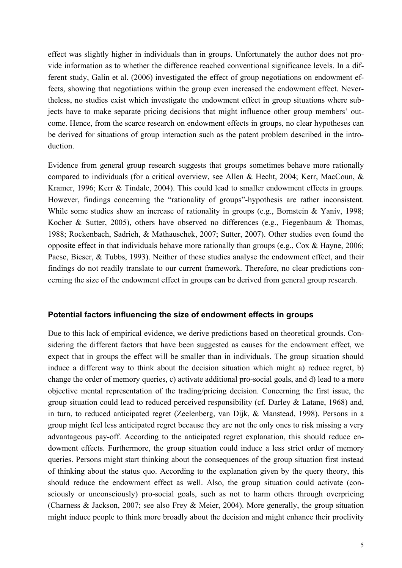effect was slightly higher in individuals than in groups. Unfortunately the author does not provide information as to whether the difference reached conventional significance levels. In a different study, Galin et al. (2006) investigated the effect of group negotiations on endowment effects, showing that negotiations within the group even increased the endowment effect. Nevertheless, no studies exist which investigate the endowment effect in group situations where subjects have to make separate pricing decisions that might influence other group members' outcome. Hence, from the scarce research on endowment effects in groups, no clear hypotheses can be derived for situations of group interaction such as the patent problem described in the introduction.

Evidence from general group research suggests that groups sometimes behave more rationally compared to individuals (for a critical overview, see Allen & Hecht, 2004; Kerr, MacCoun, & Kramer, 1996; Kerr & Tindale, 2004). This could lead to smaller endowment effects in groups. However, findings concerning the "rationality of groups"-hypothesis are rather inconsistent. While some studies show an increase of rationality in groups (e.g., Bornstein & Yaniv, 1998; Kocher & Sutter, 2005), others have observed no differences (e.g., Fiegenbaum & Thomas, 1988; Rockenbach, Sadrieh, & Mathauschek, 2007; Sutter, 2007). Other studies even found the opposite effect in that individuals behave more rationally than groups (e.g., Cox & Hayne, 2006; Paese, Bieser, & Tubbs, 1993). Neither of these studies analyse the endowment effect, and their findings do not readily translate to our current framework. Therefore, no clear predictions concerning the size of the endowment effect in groups can be derived from general group research.

#### **Potential factors influencing the size of endowment effects in groups**

Due to this lack of empirical evidence, we derive predictions based on theoretical grounds. Considering the different factors that have been suggested as causes for the endowment effect, we expect that in groups the effect will be smaller than in individuals. The group situation should induce a different way to think about the decision situation which might a) reduce regret, b) change the order of memory queries, c) activate additional pro-social goals, and d) lead to a more objective mental representation of the trading/pricing decision. Concerning the first issue, the group situation could lead to reduced perceived responsibility (cf. Darley & Latane, 1968) and, in turn, to reduced anticipated regret (Zeelenberg, van Dijk, & Manstead, 1998). Persons in a group might feel less anticipated regret because they are not the only ones to risk missing a very advantageous pay-off. According to the anticipated regret explanation, this should reduce endowment effects. Furthermore, the group situation could induce a less strict order of memory queries. Persons might start thinking about the consequences of the group situation first instead of thinking about the status quo. According to the explanation given by the query theory, this should reduce the endowment effect as well. Also, the group situation could activate (consciously or unconsciously) pro-social goals, such as not to harm others through overpricing (Charness & Jackson, 2007; see also Frey & Meier, 2004). More generally, the group situation might induce people to think more broadly about the decision and might enhance their proclivity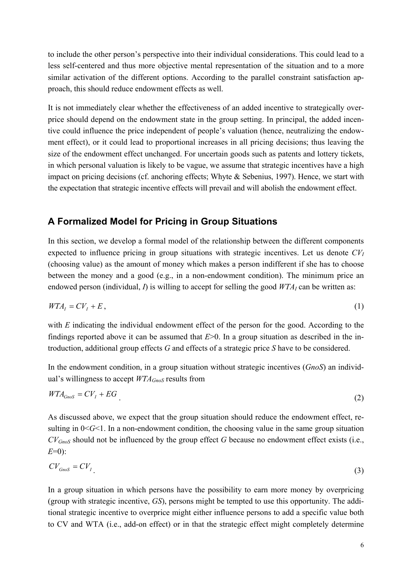to include the other person's perspective into their individual considerations. This could lead to a less self-centered and thus more objective mental representation of the situation and to a more similar activation of the different options. According to the parallel constraint satisfaction approach, this should reduce endowment effects as well.

It is not immediately clear whether the effectiveness of an added incentive to strategically overprice should depend on the endowment state in the group setting. In principal, the added incentive could influence the price independent of people's valuation (hence, neutralizing the endowment effect), or it could lead to proportional increases in all pricing decisions; thus leaving the size of the endowment effect unchanged. For uncertain goods such as patents and lottery tickets, in which personal valuation is likely to be vague, we assume that strategic incentives have a high impact on pricing decisions (cf. anchoring effects; Whyte & Sebenius, 1997). Hence, we start with the expectation that strategic incentive effects will prevail and will abolish the endowment effect.

## **A Formalized Model for Pricing in Group Situations**

In this section, we develop a formal model of the relationship between the different components expected to influence pricing in group situations with strategic incentives. Let us denote  $CV<sub>I</sub>$ (choosing value) as the amount of money which makes a person indifferent if she has to choose between the money and a good (e.g., in a non-endowment condition). The minimum price an endowed person (individual,  $I$ ) is willing to accept for selling the good  $WTA<sub>I</sub>$  can be written as:

$$
WTA_{I} = CV_{I} + E, \tag{1}
$$

with *E* indicating the individual endowment effect of the person for the good. According to the findings reported above it can be assumed that *E*>0. In a group situation as described in the introduction, additional group effects *G* and effects of a strategic price *S* have to be considered.

In the endowment condition, in a group situation without strategic incentives (*GnoS*) an individual's willingness to accept *WTAGnoS* results from

$$
WTA_{GnoS} = CV_I + EG
$$
 (2)

As discussed above, we expect that the group situation should reduce the endowment effect, resulting in  $0 < G < 1$ . In a non-endowment condition, the choosing value in the same group situation *CVGnoS* should not be influenced by the group effect *G* because no endowment effect exists (i.e., *E*=0):

$$
CV_{Gnos} = CV_{I} \tag{3}
$$

In a group situation in which persons have the possibility to earn more money by overpricing (group with strategic incentive, *GS*), persons might be tempted to use this opportunity. The additional strategic incentive to overprice might either influence persons to add a specific value both to CV and WTA (i.e., add-on effect) or in that the strategic effect might completely determine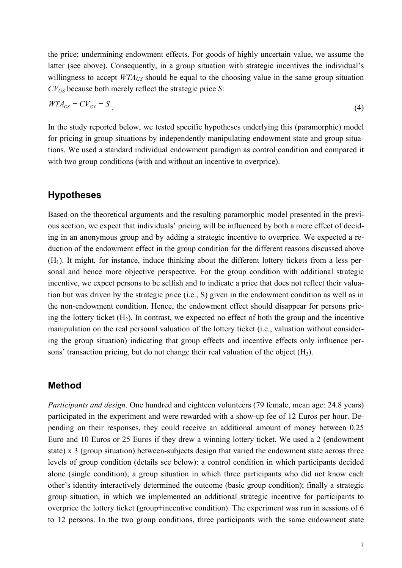the price; undermining endowment effects. For goods of highly uncertain value, we assume the latter (see above). Consequently, in a group situation with strategic incentives the individual's willingness to accept  $WTA_{GS}$  should be equal to the choosing value in the same group situation *CVGS* because both merely reflect the strategic price *S*:

$$
WTA_{GS} = CV_{GS} = S \tag{4}
$$

In the study reported below, we tested specific hypotheses underlying this (paramorphic) model for pricing in group situations by independently manipulating endowment state and group situations. We used a standard individual endowment paradigm as control condition and compared it with two group conditions (with and without an incentive to overprice).

#### **Hypotheses**

Based on the theoretical arguments and the resulting paramorphic model presented in the previous section, we expect that individuals' pricing will be influenced by both a mere effect of deciding in an anonymous group and by adding a strategic incentive to overprice. We expected a reduction of the endowment effect in the group condition for the different reasons discussed above  $(H<sub>1</sub>)$ . It might, for instance, induce thinking about the different lottery tickets from a less personal and hence more objective perspective. For the group condition with additional strategic incentive, we expect persons to be selfish and to indicate a price that does not reflect their valuation but was driven by the strategic price (i.e., S) given in the endowment condition as well as in the non-endowment condition. Hence, the endowment effect should disappear for persons pricing the lottery ticket  $(H_2)$ . In contrast, we expected no effect of both the group and the incentive manipulation on the real personal valuation of the lottery ticket (i.e., valuation without considering the group situation) indicating that group effects and incentive effects only influence persons' transaction pricing, but do not change their real valuation of the object  $(H_3)$ .

#### **Method**

*Participants and design.* One hundred and eighteen volunteers (79 female, mean age: 24.8 years) participated in the experiment and were rewarded with a show-up fee of 12 Euros per hour. Depending on their responses, they could receive an additional amount of money between 0.25 Euro and 10 Euros or 25 Euros if they drew a winning lottery ticket. We used a 2 (endowment state) x 3 (group situation) between-subjects design that varied the endowment state across three levels of group condition (details see below): a control condition in which participants decided alone (single condition); a group situation in which three participants who did not know each other's identity interactively determined the outcome (basic group condition); finally a strategic group situation, in which we implemented an additional strategic incentive for participants to overprice the lottery ticket (group+incentive condition). The experiment was run in sessions of 6 to 12 persons. In the two group conditions, three participants with the same endowment state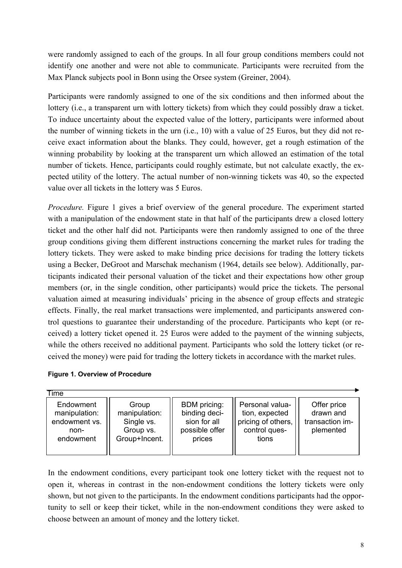were randomly assigned to each of the groups. In all four group conditions members could not identify one another and were not able to communicate. Participants were recruited from the Max Planck subjects pool in Bonn using the Orsee system (Greiner, 2004).

Participants were randomly assigned to one of the six conditions and then informed about the lottery (i.e., a transparent urn with lottery tickets) from which they could possibly draw a ticket. To induce uncertainty about the expected value of the lottery, participants were informed about the number of winning tickets in the urn (i.e., 10) with a value of 25 Euros, but they did not receive exact information about the blanks. They could, however, get a rough estimation of the winning probability by looking at the transparent urn which allowed an estimation of the total number of tickets. Hence, participants could roughly estimate, but not calculate exactly, the expected utility of the lottery. The actual number of non-winning tickets was 40, so the expected value over all tickets in the lottery was 5 Euros.

*Procedure.* Figure 1 gives a brief overview of the general procedure. The experiment started with a manipulation of the endowment state in that half of the participants drew a closed lottery ticket and the other half did not. Participants were then randomly assigned to one of the three group conditions giving them different instructions concerning the market rules for trading the lottery tickets. They were asked to make binding price decisions for trading the lottery tickets using a Becker, DeGroot and Marschak mechanism (1964, details see below). Additionally, participants indicated their personal valuation of the ticket and their expectations how other group members (or, in the single condition, other participants) would price the tickets. The personal valuation aimed at measuring individuals' pricing in the absence of group effects and strategic effects. Finally, the real market transactions were implemented, and participants answered control questions to guarantee their understanding of the procedure. Participants who kept (or received) a lottery ticket opened it. 25 Euros were added to the payment of the winning subjects, while the others received no additional payment. Participants who sold the lottery ticket (or received the money) were paid for trading the lottery tickets in accordance with the market rules.

|  |  |  |  | <b>Figure 1. Overview of Procedure</b> |
|--|--|--|--|----------------------------------------|
|--|--|--|--|----------------------------------------|

| Time                                                             |                                                                    |                                                                                  |                                                                                   |                                                          |
|------------------------------------------------------------------|--------------------------------------------------------------------|----------------------------------------------------------------------------------|-----------------------------------------------------------------------------------|----------------------------------------------------------|
| Endowment<br>manipulation:<br>endowment vs.<br>non-<br>endowment | Group<br>manipulation:<br>Single vs.<br>Group vs.<br>Group+Incent. | <b>BDM</b> pricing:<br>binding deci-<br>sion for all<br>possible offer<br>prices | Personal valua-<br>tion, expected<br>pricing of others,<br>control ques-<br>tions | Offer price<br>drawn and<br>transaction im-<br>plemented |
|                                                                  |                                                                    |                                                                                  |                                                                                   |                                                          |

In the endowment conditions, every participant took one lottery ticket with the request not to open it, whereas in contrast in the non-endowment conditions the lottery tickets were only shown, but not given to the participants. In the endowment conditions participants had the opportunity to sell or keep their ticket, while in the non-endowment conditions they were asked to choose between an amount of money and the lottery ticket.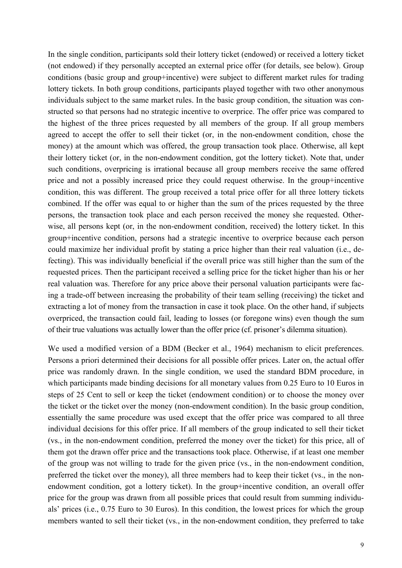In the single condition, participants sold their lottery ticket (endowed) or received a lottery ticket (not endowed) if they personally accepted an external price offer (for details, see below). Group conditions (basic group and group+incentive) were subject to different market rules for trading lottery tickets. In both group conditions, participants played together with two other anonymous individuals subject to the same market rules. In the basic group condition, the situation was constructed so that persons had no strategic incentive to overprice. The offer price was compared to the highest of the three prices requested by all members of the group. If all group members agreed to accept the offer to sell their ticket (or, in the non-endowment condition, chose the money) at the amount which was offered, the group transaction took place. Otherwise, all kept their lottery ticket (or, in the non-endowment condition, got the lottery ticket). Note that, under such conditions, overpricing is irrational because all group members receive the same offered price and not a possibly increased price they could request otherwise. In the group+incentive condition, this was different. The group received a total price offer for all three lottery tickets combined. If the offer was equal to or higher than the sum of the prices requested by the three persons, the transaction took place and each person received the money she requested. Otherwise, all persons kept (or, in the non-endowment condition, received) the lottery ticket. In this group+incentive condition, persons had a strategic incentive to overprice because each person could maximize her individual profit by stating a price higher than their real valuation (i.e., defecting). This was individually beneficial if the overall price was still higher than the sum of the requested prices. Then the participant received a selling price for the ticket higher than his or her real valuation was. Therefore for any price above their personal valuation participants were facing a trade-off between increasing the probability of their team selling (receiving) the ticket and extracting a lot of money from the transaction in case it took place. On the other hand, if subjects overpriced, the transaction could fail, leading to losses (or foregone wins) even though the sum of their true valuations was actually lower than the offer price (cf. prisoner's dilemma situation).

We used a modified version of a BDM (Becker et al., 1964) mechanism to elicit preferences. Persons a priori determined their decisions for all possible offer prices. Later on, the actual offer price was randomly drawn. In the single condition, we used the standard BDM procedure, in which participants made binding decisions for all monetary values from 0.25 Euro to 10 Euros in steps of 25 Cent to sell or keep the ticket (endowment condition) or to choose the money over the ticket or the ticket over the money (non-endowment condition). In the basic group condition, essentially the same procedure was used except that the offer price was compared to all three individual decisions for this offer price. If all members of the group indicated to sell their ticket (vs., in the non-endowment condition, preferred the money over the ticket) for this price, all of them got the drawn offer price and the transactions took place. Otherwise, if at least one member of the group was not willing to trade for the given price (vs., in the non-endowment condition, preferred the ticket over the money), all three members had to keep their ticket (vs., in the nonendowment condition, got a lottery ticket). In the group+incentive condition, an overall offer price for the group was drawn from all possible prices that could result from summing individuals' prices (i.e., 0.75 Euro to 30 Euros). In this condition, the lowest prices for which the group members wanted to sell their ticket (vs., in the non-endowment condition, they preferred to take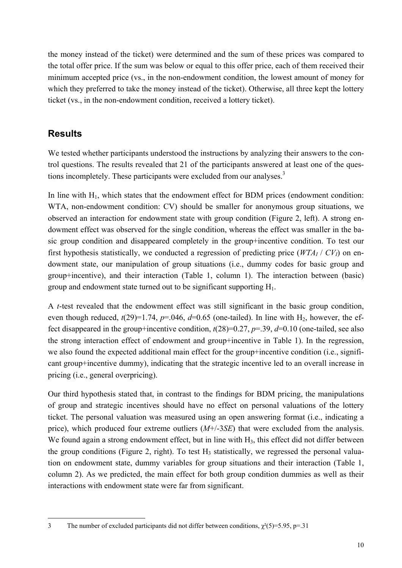the money instead of the ticket) were determined and the sum of these prices was compared to the total offer price. If the sum was below or equal to this offer price, each of them received their minimum accepted price (vs., in the non-endowment condition, the lowest amount of money for which they preferred to take the money instead of the ticket). Otherwise, all three kept the lottery ticket (vs., in the non-endowment condition, received a lottery ticket).

# **Results**

We tested whether participants understood the instructions by analyzing their answers to the control questions. The results revealed that 21 of the participants answered at least one of the questions incompletely. These participants were excluded from our analyses.<sup>3</sup>

In line with  $H_1$ , which states that the endowment effect for BDM prices (endowment condition: WTA, non-endowment condition: CV) should be smaller for anonymous group situations, we observed an interaction for endowment state with group condition (Figure 2, left). A strong endowment effect was observed for the single condition, whereas the effect was smaller in the basic group condition and disappeared completely in the group+incentive condition. To test our first hypothesis statistically, we conducted a regression of predicting price  $(WTA_I / CV_I)$  on endowment state, our manipulation of group situations (i.e., dummy codes for basic group and group+incentive), and their interaction (Table 1, column 1). The interaction between (basic) group and endowment state turned out to be significant supporting  $H_1$ .

A *t*-test revealed that the endowment effect was still significant in the basic group condition, even though reduced,  $t(29)=1.74$ ,  $p=.046$ ,  $d=0.65$  (one-tailed). In line with H<sub>2</sub>, however, the effect disappeared in the group+incentive condition,  $t(28)=0.27$ ,  $p=.39$ ,  $d=0.10$  (one-tailed, see also the strong interaction effect of endowment and group+incentive in Table 1). In the regression, we also found the expected additional main effect for the group+incentive condition (i.e., significant group+incentive dummy), indicating that the strategic incentive led to an overall increase in pricing (i.e., general overpricing).

Our third hypothesis stated that, in contrast to the findings for BDM pricing, the manipulations of group and strategic incentives should have no effect on personal valuations of the lottery ticket. The personal valuation was measured using an open answering format (i.e., indicating a price), which produced four extreme outliers (*M*+/-3*SE*) that were excluded from the analysis. We found again a strong endowment effect, but in line with H<sub>3</sub>, this effect did not differ between the group conditions (Figure 2, right). To test  $H_3$  statistically, we regressed the personal valuation on endowment state, dummy variables for group situations and their interaction (Table 1, column 2). As we predicted, the main effect for both group condition dummies as well as their interactions with endowment state were far from significant.

j 3 The number of excluded participants did not differ between conditions,  $\chi^2(5)=5.95$ , p=.31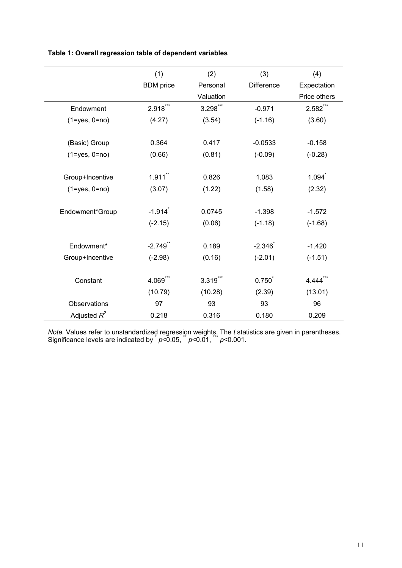|                     | (1)              | (2)       | (3)               | (4)                  |
|---------------------|------------------|-----------|-------------------|----------------------|
|                     | <b>BDM</b> price | Personal  | <b>Difference</b> | Expectation          |
|                     |                  | Valuation |                   | Price others         |
|                     |                  |           |                   |                      |
| Endowment           | $2.918***$       | 3.298***  | $-0.971$          | 2.582***             |
| $(1 = yes, 0 = no)$ | (4.27)           | (3.54)    | $(-1.16)$         | (3.60)               |
|                     |                  |           |                   |                      |
| (Basic) Group       | 0.364            | 0.417     | $-0.0533$         | $-0.158$             |
| $(1 = yes, 0 = no)$ | (0.66)           | (0.81)    | $(-0.09)$         | $(-0.28)$            |
|                     |                  |           |                   |                      |
| Group+Incentive     | $1.911$ **       | 0.826     | 1.083             | $1.094$ <sup>*</sup> |
| $(1 = yes, 0 = no)$ | (3.07)           | (1.22)    | (1.58)            | (2.32)               |
|                     |                  |           |                   |                      |
| Endowment*Group     | $-1.914$         | 0.0745    | $-1.398$          | $-1.572$             |
|                     | $(-2.15)$        | (0.06)    | $(-1.18)$         | $(-1.68)$            |
|                     |                  |           |                   |                      |
| Endowment*          | $-2.749$ **      | 0.189     | $-2.346$          | $-1.420$             |
| Group+Incentive     | $(-2.98)$        | (0.16)    | $(-2.01)$         | $(-1.51)$            |
|                     |                  |           |                   |                      |
| Constant            | 4.069***         | 3.319     | 0.750             | 4.444                |
|                     | (10.79)          | (10.28)   | (2.39)            | (13.01)              |
| Observations        | 97               | 93        | 93                | 96                   |
| Adjusted $R^2$      | 0.218            | 0.316     | 0.180             | 0.209                |

*Note.* Values refer to unstandardized regression weights. The *t* statistics are given in parentheses. Significance levels are indicated by  $p < 0.05$ ,  $p < 0.01$ ,  $p < 0.001$ .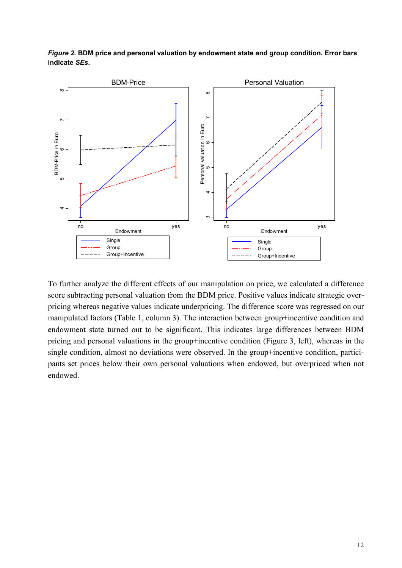

*Figure 2.* **BDM price and personal valuation by endowment state and group condition. Error bars indicate** *SEs***.** 

To further analyze the different effects of our manipulation on price, we calculated a difference score subtracting personal valuation from the BDM price. Positive values indicate strategic overpricing whereas negative values indicate underpricing. The difference score was regressed on our manipulated factors (Table 1, column 3). The interaction between group+incentive condition and endowment state turned out to be significant. This indicates large differences between BDM pricing and personal valuations in the group+incentive condition (Figure 3, left), whereas in the single condition, almost no deviations were observed. In the group+incentive condition, participants set prices below their own personal valuations when endowed, but overpriced when not endowed.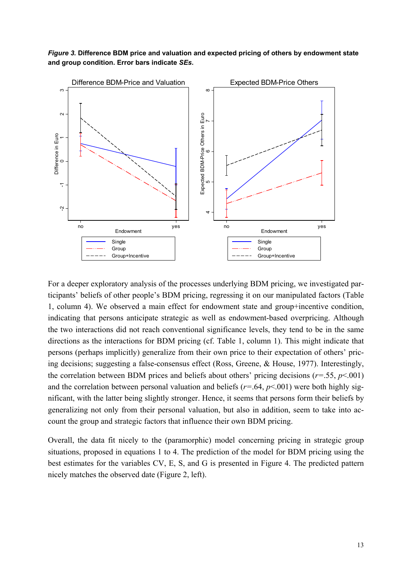*Figure 3.* **Difference BDM price and valuation and expected pricing of others by endowment state and group condition. Error bars indicate** *SEs***.** 



For a deeper exploratory analysis of the processes underlying BDM pricing, we investigated participants' beliefs of other people's BDM pricing, regressing it on our manipulated factors (Table 1, column 4). We observed a main effect for endowment state and group+incentive condition, indicating that persons anticipate strategic as well as endowment-based overpricing. Although the two interactions did not reach conventional significance levels, they tend to be in the same directions as the interactions for BDM pricing (cf. Table 1, column 1). This might indicate that persons (perhaps implicitly) generalize from their own price to their expectation of others' pricing decisions; suggesting a false-consensus effect (Ross, Greene, & House, 1977). Interestingly, the correlation between BDM prices and beliefs about others' pricing decisions ( $r = .55$ ,  $p < .001$ ) and the correlation between personal valuation and beliefs ( $r = .64$ ,  $p < .001$ ) were both highly significant, with the latter being slightly stronger. Hence, it seems that persons form their beliefs by generalizing not only from their personal valuation, but also in addition, seem to take into account the group and strategic factors that influence their own BDM pricing.

Overall, the data fit nicely to the (paramorphic) model concerning pricing in strategic group situations, proposed in equations 1 to 4. The prediction of the model for BDM pricing using the best estimates for the variables CV, E, S, and G is presented in Figure 4. The predicted pattern nicely matches the observed date (Figure 2, left).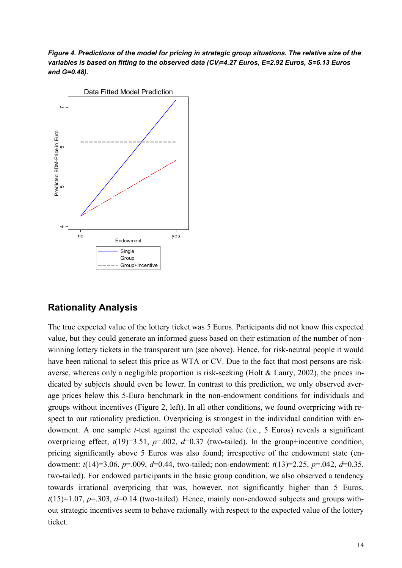*Figure 4. Predictions of the model for pricing in strategic group situations. The relative size of the*  variables is based on fitting to the observed data (CV<sub>I</sub>=4.27 Euros, E=2.92 Euros, S=6.13 Euros *and G=0.48).* 



## **Rationality Analysis**

The true expected value of the lottery ticket was 5 Euros. Participants did not know this expected value, but they could generate an informed guess based on their estimation of the number of nonwinning lottery tickets in the transparent urn (see above). Hence, for risk-neutral people it would have been rational to select this price as WTA or CV. Due to the fact that most persons are riskaverse, whereas only a negligible proportion is risk-seeking (Holt & Laury, 2002), the prices indicated by subjects should even be lower. In contrast to this prediction, we only observed average prices below this 5-Euro benchmark in the non-endowment conditions for individuals and groups without incentives (Figure 2, left). In all other conditions, we found overpricing with respect to our rationality prediction. Overpricing is strongest in the individual condition with endowment. A one sample *t*-test against the expected value (i.e., 5 Euros) reveals a significant overpricing effect,  $t(19)=3.51$ ,  $p=.002$ ,  $d=0.37$  (two-tailed). In the group+incentive condition, pricing significantly above 5 Euros was also found; irrespective of the endowment state (endowment: *t*(14)=3.06, *p*=.009, *d*=0.44, two-tailed; non-endowment: *t*(13)=2.25, *p*=.042, *d*=0.35, two-tailed). For endowed participants in the basic group condition, we also observed a tendency towards irrational overpricing that was, however, not significantly higher than 5 Euros,  $t(15)=1.07$ ,  $p=.303$ ,  $d=0.14$  (two-tailed). Hence, mainly non-endowed subjects and groups without strategic incentives seem to behave rationally with respect to the expected value of the lottery ticket.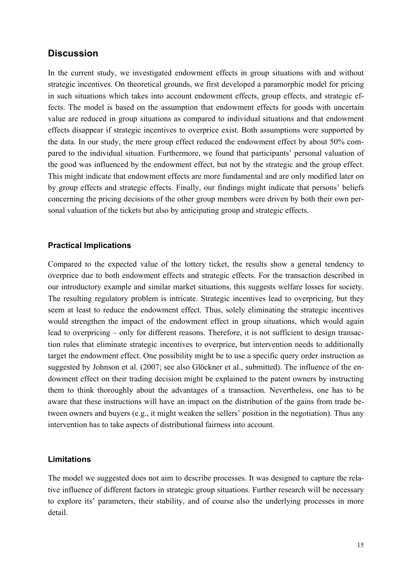# **Discussion**

In the current study, we investigated endowment effects in group situations with and without strategic incentives. On theoretical grounds, we first developed a paramorphic model for pricing in such situations which takes into account endowment effects, group effects, and strategic effects. The model is based on the assumption that endowment effects for goods with uncertain value are reduced in group situations as compared to individual situations and that endowment effects disappear if strategic incentives to overprice exist. Both assumptions were supported by the data. In our study, the mere group effect reduced the endowment effect by about 50% compared to the individual situation. Furthermore, we found that participants' personal valuation of the good was influenced by the endowment effect, but not by the strategic and the group effect. This might indicate that endowment effects are more fundamental and are only modified later on by group effects and strategic effects. Finally, our findings might indicate that persons' beliefs concerning the pricing decisions of the other group members were driven by both their own personal valuation of the tickets but also by anticipating group and strategic effects.

#### **Practical Implications**

Compared to the expected value of the lottery ticket, the results show a general tendency to overprice due to both endowment effects and strategic effects. For the transaction described in our introductory example and similar market situations, this suggests welfare losses for society. The resulting regulatory problem is intricate. Strategic incentives lead to overpricing, but they seem at least to reduce the endowment effect. Thus, solely eliminating the strategic incentives would strengthen the impact of the endowment effect in group situations, which would again lead to overpricing – only for different reasons. Therefore, it is not sufficient to design transaction rules that eliminate strategic incentives to overprice, but intervention needs to additionally target the endowment effect. One possibility might be to use a specific query order instruction as suggested by Johnson et al. (2007; see also Glöckner et al., submitted). The influence of the endowment effect on their trading decision might be explained to the patent owners by instructing them to think thoroughly about the advantages of a transaction. Nevertheless, one has to be aware that these instructions will have an impact on the distribution of the gains from trade between owners and buyers (e.g., it might weaken the sellers' position in the negotiation). Thus any intervention has to take aspects of distributional fairness into account.

#### **Limitations**

The model we suggested does not aim to describe processes. It was designed to capture the relative influence of different factors in strategic group situations. Further research will be necessary to explore its' parameters, their stability, and of course also the underlying processes in more detail.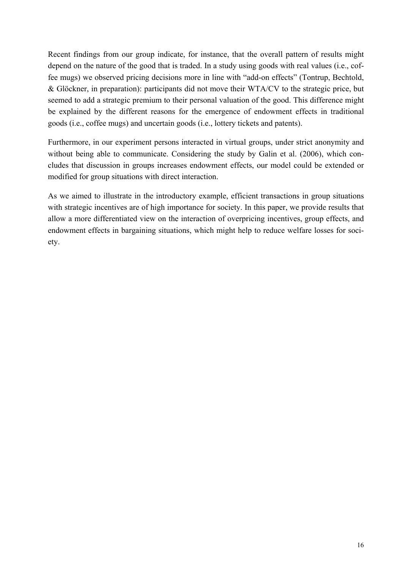Recent findings from our group indicate, for instance, that the overall pattern of results might depend on the nature of the good that is traded. In a study using goods with real values (i.e., coffee mugs) we observed pricing decisions more in line with "add-on effects" (Tontrup, Bechtold, & Glöckner, in preparation): participants did not move their WTA/CV to the strategic price, but seemed to add a strategic premium to their personal valuation of the good. This difference might be explained by the different reasons for the emergence of endowment effects in traditional goods (i.e., coffee mugs) and uncertain goods (i.e., lottery tickets and patents).

Furthermore, in our experiment persons interacted in virtual groups, under strict anonymity and without being able to communicate. Considering the study by Galin et al. (2006), which concludes that discussion in groups increases endowment effects, our model could be extended or modified for group situations with direct interaction.

As we aimed to illustrate in the introductory example, efficient transactions in group situations with strategic incentives are of high importance for society. In this paper, we provide results that allow a more differentiated view on the interaction of overpricing incentives, group effects, and endowment effects in bargaining situations, which might help to reduce welfare losses for society.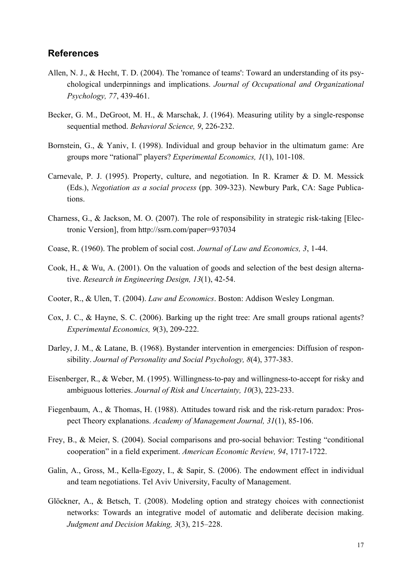#### **References**

- Allen, N. J., & Hecht, T. D. (2004). The 'romance of teams': Toward an understanding of its psychological underpinnings and implications. *Journal of Occupational and Organizational Psychology, 77*, 439-461.
- Becker, G. M., DeGroot, M. H., & Marschak, J. (1964). Measuring utility by a single-response sequential method. *Behavioral Science, 9*, 226-232.
- Bornstein, G., & Yaniv, I. (1998). Individual and group behavior in the ultimatum game: Are groups more "rational" players? *Experimental Economics, 1*(1), 101-108.
- Carnevale, P. J. (1995). Property, culture, and negotiation. In R. Kramer & D. M. Messick (Eds.), *Negotiation as a social process* (pp. 309-323). Newbury Park, CA: Sage Publications.
- Charness, G., & Jackson, M. O. (2007). The role of responsibility in strategic risk-taking [Electronic Version], from http://ssrn.com/paper=937034
- Coase, R. (1960). The problem of social cost. *Journal of Law and Economics, 3*, 1-44.
- Cook, H., & Wu, A. (2001). On the valuation of goods and selection of the best design alternative. *Research in Engineering Design, 13*(1), 42-54.
- Cooter, R., & Ulen, T. (2004). *Law and Economics*. Boston: Addison Wesley Longman.
- Cox, J. C., & Hayne, S. C. (2006). Barking up the right tree: Are small groups rational agents? *Experimental Economics, 9*(3), 209-222.
- Darley, J. M., & Latane, B. (1968). Bystander intervention in emergencies: Diffusion of responsibility. *Journal of Personality and Social Psychology, 8*(4), 377-383.
- Eisenberger, R., & Weber, M. (1995). Willingness-to-pay and willingness-to-accept for risky and ambiguous lotteries. *Journal of Risk and Uncertainty, 10*(3), 223-233.
- Fiegenbaum, A., & Thomas, H. (1988). Attitudes toward risk and the risk-return paradox: Prospect Theory explanations. *Academy of Management Journal, 31*(1), 85-106.
- Frey, B., & Meier, S. (2004). Social comparisons and pro-social behavior: Testing "conditional cooperation" in a field experiment. *American Economic Review, 94*, 1717-1722.
- Galin, A., Gross, M., Kella-Egozy, I., & Sapir, S. (2006). The endowment effect in individual and team negotiations. Tel Aviv University, Faculty of Management.
- Glöckner, A., & Betsch, T. (2008). Modeling option and strategy choices with connectionist networks: Towards an integrative model of automatic and deliberate decision making. *Judgment and Decision Making, 3*(3), 215–228.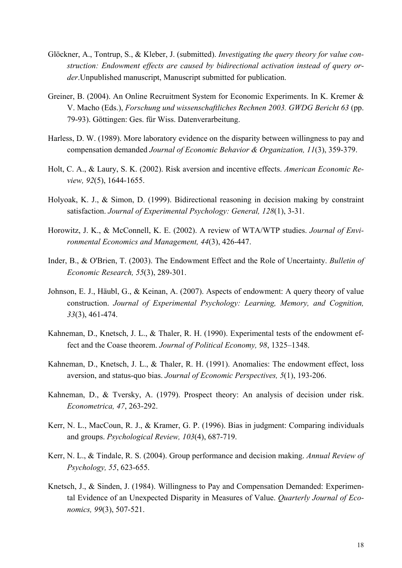- Glöckner, A., Tontrup, S., & Kleber, J. (submitted). *Investigating the query theory for value construction: Endowment effects are caused by bidirectional activation instead of query order*.Unpublished manuscript, Manuscript submitted for publication.
- Greiner, B. (2004). An Online Recruitment System for Economic Experiments. In K. Kremer & V. Macho (Eds.), *Forschung und wissenschaftliches Rechnen 2003. GWDG Bericht 63* (pp. 79-93). Göttingen: Ges. für Wiss. Datenverarbeitung.
- Harless, D. W. (1989). More laboratory evidence on the disparity between willingness to pay and compensation demanded *Journal of Economic Behavior & Organization, 11*(3), 359-379.
- Holt, C. A., & Laury, S. K. (2002). Risk aversion and incentive effects. *American Economic Review, 92*(5), 1644-1655.
- Holyoak, K. J., & Simon, D. (1999). Bidirectional reasoning in decision making by constraint satisfaction. *Journal of Experimental Psychology: General, 128*(1), 3-31.
- Horowitz, J. K., & McConnell, K. E. (2002). A review of WTA/WTP studies. *Journal of Environmental Economics and Management, 44*(3), 426-447.
- Inder, B., & O'Brien, T. (2003). The Endowment Effect and the Role of Uncertainty. *Bulletin of Economic Research, 55*(3), 289-301.
- Johnson, E. J., Häubl, G., & Keinan, A. (2007). Aspects of endowment: A query theory of value construction. *Journal of Experimental Psychology: Learning, Memory, and Cognition, 33*(3), 461-474.
- Kahneman, D., Knetsch, J. L., & Thaler, R. H. (1990). Experimental tests of the endowment effect and the Coase theorem. *Journal of Political Economy, 98*, 1325–1348.
- Kahneman, D., Knetsch, J. L., & Thaler, R. H. (1991). Anomalies: The endowment effect, loss aversion, and status-quo bias. *Journal of Economic Perspectives, 5*(1), 193-206.
- Kahneman, D., & Tversky, A. (1979). Prospect theory: An analysis of decision under risk. *Econometrica, 47*, 263-292.
- Kerr, N. L., MacCoun, R. J., & Kramer, G. P. (1996). Bias in judgment: Comparing individuals and groups. *Psychological Review, 103*(4), 687-719.
- Kerr, N. L., & Tindale, R. S. (2004). Group performance and decision making. *Annual Review of Psychology, 55*, 623-655.
- Knetsch, J., & Sinden, J. (1984). Willingness to Pay and Compensation Demanded: Experimental Evidence of an Unexpected Disparity in Measures of Value. *Quarterly Journal of Economics, 99*(3), 507-521.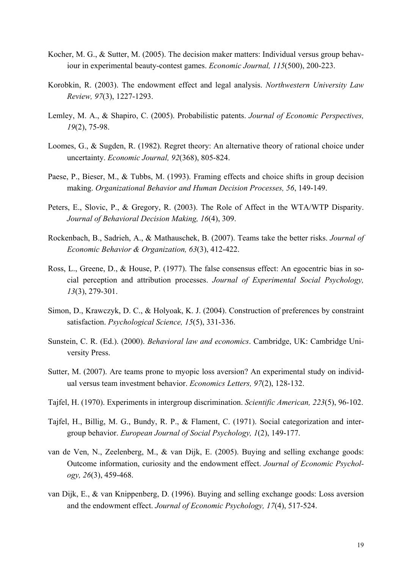- Kocher, M. G., & Sutter, M. (2005). The decision maker matters: Individual versus group behaviour in experimental beauty-contest games. *Economic Journal, 115*(500), 200-223.
- Korobkin, R. (2003). The endowment effect and legal analysis. *Northwestern University Law Review, 97*(3), 1227-1293.
- Lemley, M. A., & Shapiro, C. (2005). Probabilistic patents. *Journal of Economic Perspectives, 19*(2), 75-98.
- Loomes, G., & Sugden, R. (1982). Regret theory: An alternative theory of rational choice under uncertainty. *Economic Journal, 92*(368), 805-824.
- Paese, P., Bieser, M., & Tubbs, M. (1993). Framing effects and choice shifts in group decision making. *Organizational Behavior and Human Decision Processes, 56*, 149-149.
- Peters, E., Slovic, P., & Gregory, R. (2003). The Role of Affect in the WTA/WTP Disparity. *Journal of Behavioral Decision Making, 16*(4), 309.
- Rockenbach, B., Sadrieh, A., & Mathauschek, B. (2007). Teams take the better risks. *Journal of Economic Behavior & Organization, 63*(3), 412-422.
- Ross, L., Greene, D., & House, P. (1977). The false consensus effect: An egocentric bias in social perception and attribution processes. *Journal of Experimental Social Psychology, 13*(3), 279-301.
- Simon, D., Krawczyk, D. C., & Holyoak, K. J. (2004). Construction of preferences by constraint satisfaction. *Psychological Science, 15*(5), 331-336.
- Sunstein, C. R. (Ed.). (2000). *Behavioral law and economics*. Cambridge, UK: Cambridge University Press.
- Sutter, M. (2007). Are teams prone to myopic loss aversion? An experimental study on individual versus team investment behavior. *Economics Letters, 97*(2), 128-132.
- Tajfel, H. (1970). Experiments in intergroup discrimination. *Scientific American, 223*(5), 96-102.
- Tajfel, H., Billig, M. G., Bundy, R. P., & Flament, C. (1971). Social categorization and intergroup behavior. *European Journal of Social Psychology, 1*(2), 149-177.
- van de Ven, N., Zeelenberg, M., & van Dijk, E. (2005). Buying and selling exchange goods: Outcome information, curiosity and the endowment effect. *Journal of Economic Psychology, 26*(3), 459-468.
- van Dijk, E., & van Knippenberg, D. (1996). Buying and selling exchange goods: Loss aversion and the endowment effect. *Journal of Economic Psychology, 17*(4), 517-524.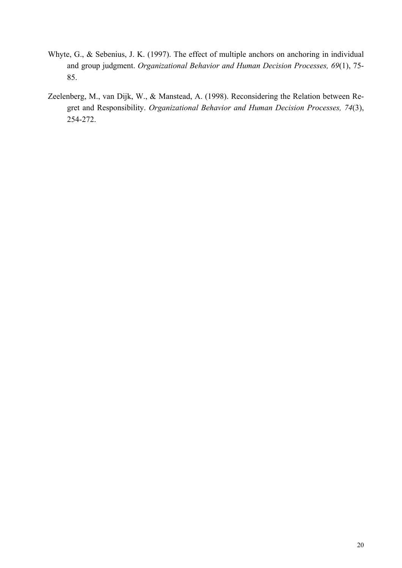- Whyte, G., & Sebenius, J. K. (1997). The effect of multiple anchors on anchoring in individual and group judgment. *Organizational Behavior and Human Decision Processes, 69*(1), 75- 85.
- Zeelenberg, M., van Dijk, W., & Manstead, A. (1998). Reconsidering the Relation between Regret and Responsibility. *Organizational Behavior and Human Decision Processes, 74*(3), 254-272.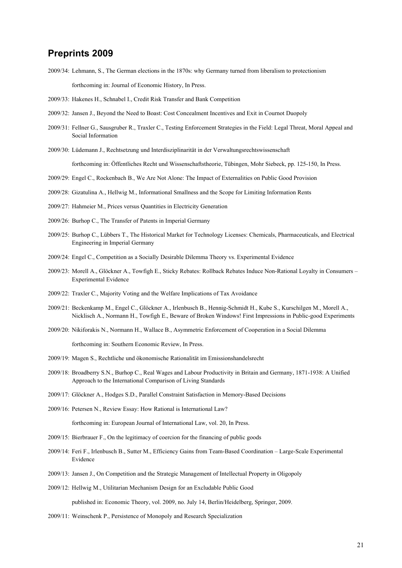## **Preprints 2009**

- 2009/34: Lehmann, S., The German elections in the 1870s: why Germany turned from liberalism to protectionism forthcoming in: Journal of Economic History, In Press.
- 2009/33: Hakenes H., Schnabel I., Credit Risk Transfer and Bank Competition
- 2009/32: Jansen J., Beyond the Need to Boast: Cost Concealment Incentives and Exit in Cournot Duopoly
- 2009/31: Fellner G., Sausgruber R., Traxler C., Testing Enforcement Strategies in the Field: Legal Threat, Moral Appeal and Social Information
- 2009/30: Lüdemann J., Rechtsetzung und Interdisziplinarität in der Verwaltungsrechtswissenschaft forthcoming in: Öffentliches Recht und Wissenschaftstheorie, Tübingen, Mohr Siebeck, pp. 125-150, In Press.
	-
- 2009/29: Engel C., Rockenbach B., We Are Not Alone: The Impact of Externalities on Public Good Provision
- 2009/28: Gizatulina A., Hellwig M., Informational Smallness and the Scope for Limiting Information Rents
- 2009/27: Hahmeier M., Prices versus Quantities in Electricity Generation
- 2009/26: Burhop C., The Transfer of Patents in Imperial Germany
- 2009/25: Burhop C., Lübbers T., The Historical Market for Technology Licenses: Chemicals, Pharmaceuticals, and Electrical Engineering in Imperial Germany
- 2009/24: Engel C., Competition as a Socially Desirable Dilemma Theory vs. Experimental Evidence
- 2009/23: Morell A., Glöckner A., Towfigh E., Sticky Rebates: Rollback Rebates Induce Non-Rational Loyalty in Consumers Experimental Evidence
- 2009/22: Traxler C., Majority Voting and the Welfare Implications of Tax Avoidance
- 2009/21: Beckenkamp M., Engel C., Glöckner A., Irlenbusch B., Hennig-Schmidt H., Kube S., Kurschilgen M., Morell A., Nicklisch A., Normann H., Towfigh E., Beware of Broken Windows! First Impressions in Public-good Experiments
- 2009/20: Nikiforakis N., Normann H., Wallace B., Asymmetric Enforcement of Cooperation in a Social Dilemma forthcoming in: Southern Economic Review, In Press.
- 2009/19: Magen S., Rechtliche und ökonomische Rationalität im Emissionshandelsrecht
- 2009/18: Broadberry S.N., Burhop C., Real Wages and Labour Productivity in Britain and Germany, 1871-1938: A Unified Approach to the International Comparison of Living Standards
- 2009/17: Glöckner A., Hodges S.D., Parallel Constraint Satisfaction in Memory-Based Decisions
- 2009/16: Petersen N., Review Essay: How Rational is International Law?

forthcoming in: European Journal of International Law, vol. 20, In Press.

- 2009/15: Bierbrauer F., On the legitimacy of coercion for the financing of public goods
- 2009/14: Feri F., Irlenbusch B., Sutter M., Efficiency Gains from Team-Based Coordination Large-Scale Experimental Evidence
- 2009/13: Jansen J., On Competition and the Strategic Management of Intellectual Property in Oligopoly
- 2009/12: Hellwig M., Utilitarian Mechanism Design for an Excludable Public Good

published in: Economic Theory, vol. 2009, no. July 14, Berlin/Heidelberg, Springer, 2009.

2009/11: Weinschenk P., Persistence of Monopoly and Research Specialization